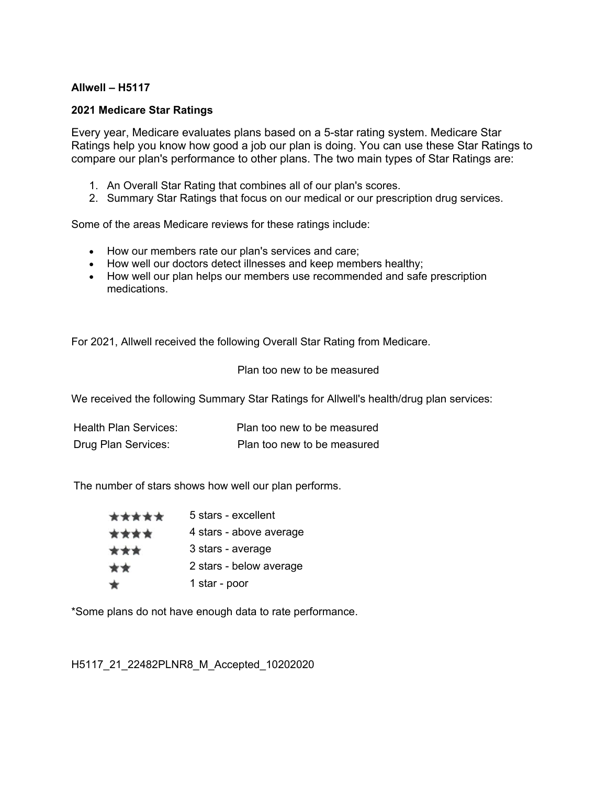## **Allwell – H5117**

## **2021 Medicare Star Ratings**

Every year, Medicare evaluates plans based on a 5-star rating system. Medicare Star Ratings help you know how good a job our plan is doing. You can use these Star Ratings to compare our plan's performance to other plans. The two main types of Star Ratings are:

- 1. An Overall Star Rating that combines all of our plan's scores.
- 2. Summary Star Ratings that focus on our medical or our prescription drug services.

Some of the areas Medicare reviews for these ratings include:

- How our members rate our plan's services and care;
- How well our doctors detect illnesses and keep members healthy;
- How well our plan helps our members use recommended and safe prescription medications.

For 2021, Allwell received the following Overall Star Rating from Medicare.

## Plan too new to be measured

We received the following Summary Star Ratings for Allwell's health/drug plan services:

| Health Plan Services: | Plan too new to be measured |
|-----------------------|-----------------------------|
| Drug Plan Services:   | Plan too new to be measured |

The number of stars shows how well our plan performs.

| ***** | 5 stars - excellent     |
|-------|-------------------------|
| ****  | 4 stars - above average |
| ***   | 3 stars - average       |
| **    | 2 stars - below average |
| ★     | 1 star - poor           |

\*Some plans do not have enough data to rate performance.

H5117\_21\_22482PLNR8\_M\_Accepted\_10202020